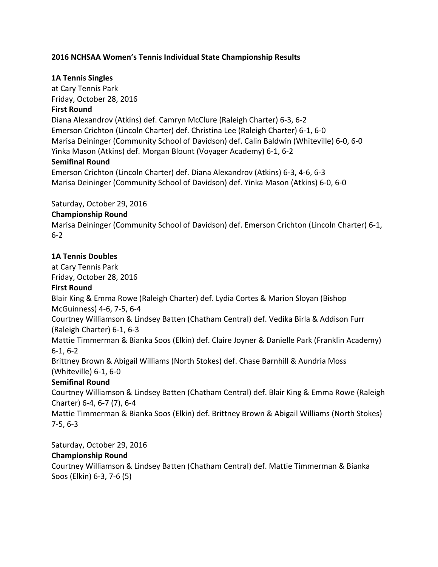### **2016 NCHSAA Women's Tennis Individual State Championship Results**

#### **1A Tennis Singles**

at Cary Tennis Park Friday, October 28, 2016 **First Round** Diana Alexandrov (Atkins) def. Camryn McClure (Raleigh Charter) 6-3, 6-2 Emerson Crichton (Lincoln Charter) def. Christina Lee (Raleigh Charter) 6-1, 6-0 Marisa Deininger (Community School of Davidson) def. Calin Baldwin (Whiteville) 6-0, 6-0 Yinka Mason (Atkins) def. Morgan Blount (Voyager Academy) 6-1, 6-2 **Semifinal Round** Emerson Crichton (Lincoln Charter) def. Diana Alexandrov (Atkins) 6-3, 4-6, 6-3

Marisa Deininger (Community School of Davidson) def. Yinka Mason (Atkins) 6-0, 6-0

#### Saturday, October 29, 2016

#### **Championship Round**

Marisa Deininger (Community School of Davidson) def. Emerson Crichton (Lincoln Charter) 6-1, 6-2

#### **1A Tennis Doubles**

at Cary Tennis Park Friday, October 28, 2016

### **First Round**

Blair King & Emma Rowe (Raleigh Charter) def. Lydia Cortes & Marion Sloyan (Bishop McGuinness) 4-6, 7-5, 6-4

Courtney Williamson & Lindsey Batten (Chatham Central) def. Vedika Birla & Addison Furr (Raleigh Charter) 6-1, 6-3

Mattie Timmerman & Bianka Soos (Elkin) def. Claire Joyner & Danielle Park (Franklin Academy)  $6-1, 6-2$ 

Brittney Brown & Abigail Williams (North Stokes) def. Chase Barnhill & Aundria Moss (Whiteville)  $6-1, 6-0$ 

### **Semifinal Round**

Courtney Williamson & Lindsey Batten (Chatham Central) def. Blair King & Emma Rowe (Raleigh Charter) 6-4, 6-7 (7), 6-4

Mattie Timmerman & Bianka Soos (Elkin) def. Brittney Brown & Abigail Williams (North Stokes) 7-5, 6-3

Saturday, October 29, 2016

### **Championship Round**

Courtney Williamson & Lindsey Batten (Chatham Central) def. Mattie Timmerman & Bianka Soos (Elkin) 6-3, 7-6 (5)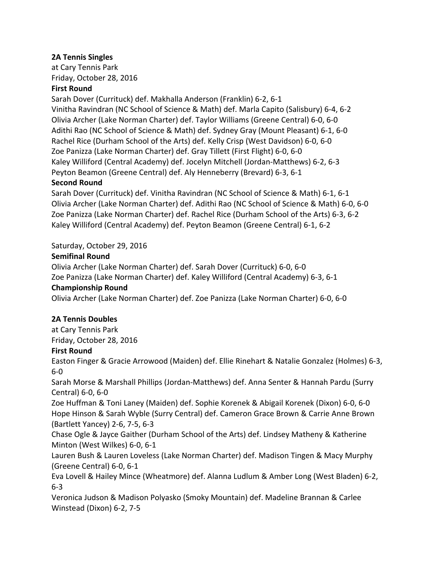## **2A Tennis Singles**

at Cary Tennis Park Friday, October 28, 2016

### **First Round**

Sarah Dover (Currituck) def. Makhalla Anderson (Franklin) 6-2, 6-1 Vinitha Ravindran (NC School of Science & Math) def. Marla Capito (Salisbury) 6-4, 6-2 Olivia Archer (Lake Norman Charter) def. Taylor Williams (Greene Central) 6-0, 6-0 Adithi Rao (NC School of Science & Math) def. Sydney Gray (Mount Pleasant) 6-1, 6-0 Rachel Rice (Durham School of the Arts) def. Kelly Crisp (West Davidson) 6-0, 6-0 Zoe Panizza (Lake Norman Charter) def. Gray Tillett (First Flight) 6-0, 6-0 Kaley Williford (Central Academy) def. Jocelyn Mitchell (Jordan-Matthews) 6-2, 6-3 Peyton Beamon (Greene Central) def. Aly Henneberry (Brevard) 6-3, 6-1

### **Second Round**

Sarah Dover (Currituck) def. Vinitha Ravindran (NC School of Science & Math) 6-1, 6-1 Olivia Archer (Lake Norman Charter) def. Adithi Rao (NC School of Science & Math) 6-0, 6-0 Zoe Panizza (Lake Norman Charter) def. Rachel Rice (Durham School of the Arts) 6-3, 6-2 Kaley Williford (Central Academy) def. Peyton Beamon (Greene Central) 6-1, 6-2

# Saturday, October 29, 2016

### **Semifinal Round**

Olivia Archer (Lake Norman Charter) def. Sarah Dover (Currituck) 6-0, 6-0 Zoe Panizza (Lake Norman Charter) def. Kaley Williford (Central Academy) 6-3, 6-1 **Championship Round** Olivia Archer (Lake Norman Charter) def. Zoe Panizza (Lake Norman Charter) 6-0, 6-0

### **2A Tennis Doubles**

at Cary Tennis Park Friday, October 28, 2016

# **First Round**

Easton Finger & Gracie Arrowood (Maiden) def. Ellie Rinehart & Natalie Gonzalez (Holmes) 6-3, 6-0

Sarah Morse & Marshall Phillips (Jordan-Matthews) def. Anna Senter & Hannah Pardu (Surry Central) 6-0, 6-0

Zoe Huffman & Toni Laney (Maiden) def. Sophie Korenek & Abigail Korenek (Dixon) 6-0, 6-0 Hope Hinson & Sarah Wyble (Surry Central) def. Cameron Grace Brown & Carrie Anne Brown (Bartlett Yancey) 2-6, 7-5, 6-3

Chase Ogle & Jayce Gaither (Durham School of the Arts) def. Lindsey Matheny & Katherine Minton (West Wilkes) 6-0, 6-1

Lauren Bush & Lauren Loveless (Lake Norman Charter) def. Madison Tingen & Macy Murphy (Greene Central) 6-0, 6-1

Eva Lovell & Hailey Mince (Wheatmore) def. Alanna Ludlum & Amber Long (West Bladen) 6-2, 6-3

Veronica Judson & Madison Polyasko (Smoky Mountain) def. Madeline Brannan & Carlee Winstead (Dixon) 6-2, 7-5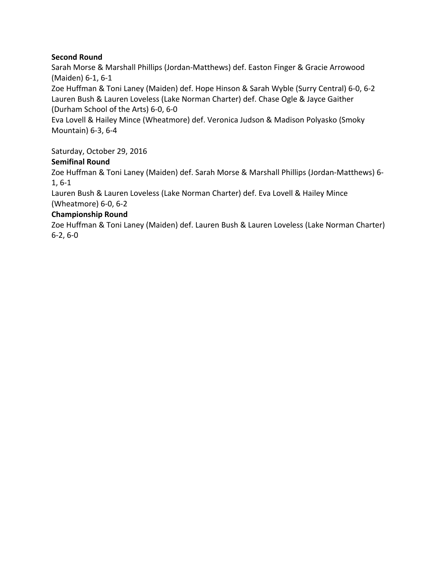## **Second Round**

Sarah Morse & Marshall Phillips (Jordan-Matthews) def. Easton Finger & Gracie Arrowood (Maiden) 6-1, 6-1

Zoe Huffman & Toni Laney (Maiden) def. Hope Hinson & Sarah Wyble (Surry Central) 6-0, 6-2 Lauren Bush & Lauren Loveless (Lake Norman Charter) def. Chase Ogle & Jayce Gaither (Durham School of the Arts) 6-0, 6-0

Eva Lovell & Hailey Mince (Wheatmore) def. Veronica Judson & Madison Polyasko (Smoky Mountain) 6-3, 6-4

Saturday, October 29, 2016

# **Semifinal Round**

Zoe Huffman & Toni Laney (Maiden) def. Sarah Morse & Marshall Phillips (Jordan-Matthews) 6- $1, 6-1$ 

Lauren Bush & Lauren Loveless (Lake Norman Charter) def. Eva Lovell & Hailey Mince (Wheatmore) 6-0, 6-2

# **Championship Round**

Zoe Huffman & Toni Laney (Maiden) def. Lauren Bush & Lauren Loveless (Lake Norman Charter)  $6-2, 6-0$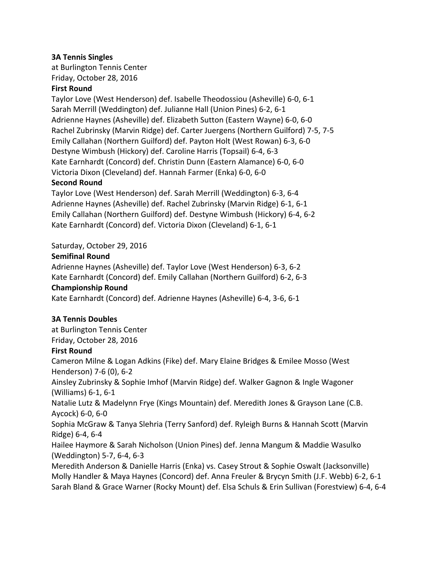### **3A Tennis Singles**

at Burlington Tennis Center Friday, October 28, 2016

#### **First Round**

Taylor Love (West Henderson) def. Isabelle Theodossiou (Asheville) 6-0, 6-1 Sarah Merrill (Weddington) def. Julianne Hall (Union Pines) 6-2, 6-1 Adrienne Haynes (Asheville) def. Elizabeth Sutton (Eastern Wayne) 6-0, 6-0 Rachel Zubrinsky (Marvin Ridge) def. Carter Juergens (Northern Guilford) 7-5, 7-5 Emily Callahan (Northern Guilford) def. Payton Holt (West Rowan) 6-3, 6-0 Destyne Wimbush (Hickory) def. Caroline Harris (Topsail) 6-4, 6-3 Kate Earnhardt (Concord) def. Christin Dunn (Eastern Alamance) 6-0, 6-0 Victoria Dixon (Cleveland) def. Hannah Farmer (Enka) 6-0, 6-0

#### **Second Round**

Taylor Love (West Henderson) def. Sarah Merrill (Weddington) 6-3, 6-4 Adrienne Haynes (Asheville) def. Rachel Zubrinsky (Marvin Ridge) 6-1, 6-1 Emily Callahan (Northern Guilford) def. Destyne Wimbush (Hickory) 6-4, 6-2 Kate Earnhardt (Concord) def. Victoria Dixon (Cleveland) 6-1, 6-1

#### Saturday, October 29, 2016

#### **Semifinal Round**

Adrienne Haynes (Asheville) def. Taylor Love (West Henderson) 6-3, 6-2 Kate Earnhardt (Concord) def. Emily Callahan (Northern Guilford) 6-2, 6-3 **Championship Round** Kate Earnhardt (Concord) def. Adrienne Haynes (Asheville) 6-4, 3-6, 6-1

#### **3A Tennis Doubles**

at Burlington Tennis Center Friday, October 28, 2016

#### **First Round**

Cameron Milne & Logan Adkins (Fike) def. Mary Elaine Bridges & Emilee Mosso (West Henderson) 7-6 (0), 6-2 Ainsley Zubrinsky & Sophie Imhof (Marvin Ridge) def. Walker Gagnon & Ingle Wagoner (Williams)  $6-1, 6-1$ 

Natalie Lutz & Madelynn Frye (Kings Mountain) def. Meredith Jones & Grayson Lane (C.B. Aycock) 6-0, 6-0

Sophia McGraw & Tanya Slehria (Terry Sanford) def. Ryleigh Burns & Hannah Scott (Marvin Ridge) 6-4, 6-4

Hailee Haymore & Sarah Nicholson (Union Pines) def. Jenna Mangum & Maddie Wasulko (Weddington) 5-7, 6-4, 6-3

Meredith Anderson & Danielle Harris (Enka) vs. Casey Strout & Sophie Oswalt (Jacksonville) Molly Handler & Maya Haynes (Concord) def. Anna Freuler & Brycyn Smith (J.F. Webb) 6-2, 6-1 Sarah Bland & Grace Warner (Rocky Mount) def. Elsa Schuls & Erin Sullivan (Forestview) 6-4, 6-4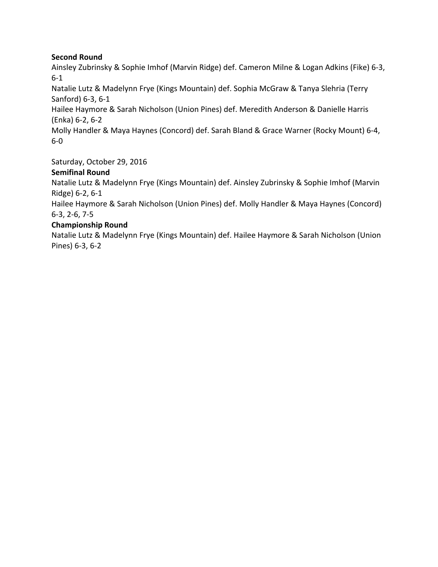### **Second Round**

Ainsley Zubrinsky & Sophie Imhof (Marvin Ridge) def. Cameron Milne & Logan Adkins (Fike) 6-3, 6-1

Natalie Lutz & Madelynn Frye (Kings Mountain) def. Sophia McGraw & Tanya Slehria (Terry Sanford) 6-3, 6-1

Hailee Haymore & Sarah Nicholson (Union Pines) def. Meredith Anderson & Danielle Harris (Enka) 6-2, 6-2

Molly Handler & Maya Haynes (Concord) def. Sarah Bland & Grace Warner (Rocky Mount) 6-4, 6-0

Saturday, October 29, 2016

### **Semifinal Round**

Natalie Lutz & Madelynn Frye (Kings Mountain) def. Ainsley Zubrinsky & Sophie Imhof (Marvin Ridge) 6-2, 6-1

Hailee Haymore & Sarah Nicholson (Union Pines) def. Molly Handler & Maya Haynes (Concord) 6-3, 2-6, 7-5

### **Championship Round**

Natalie Lutz & Madelynn Frye (Kings Mountain) def. Hailee Haymore & Sarah Nicholson (Union Pines) 6-3, 6-2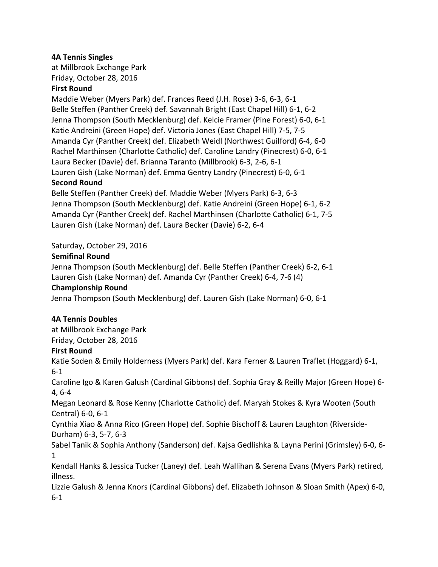### **4A Tennis Singles**

at Millbrook Exchange Park Friday, October 28, 2016

### **First Round**

Maddie Weber (Myers Park) def. Frances Reed (J.H. Rose) 3-6, 6-3, 6-1 Belle Steffen (Panther Creek) def. Savannah Bright (East Chapel Hill) 6-1, 6-2 Jenna Thompson (South Mecklenburg) def. Kelcie Framer (Pine Forest) 6-0, 6-1 Katie Andreini (Green Hope) def. Victoria Jones (East Chapel Hill) 7-5, 7-5 Amanda Cyr (Panther Creek) def. Elizabeth Weidl (Northwest Guilford) 6-4, 6-0 Rachel Marthinsen (Charlotte Catholic) def. Caroline Landry (Pinecrest) 6-0, 6-1 Laura Becker (Davie) def. Brianna Taranto (Millbrook) 6-3, 2-6, 6-1 Lauren Gish (Lake Norman) def. Emma Gentry Landry (Pinecrest) 6-0, 6-1

#### **Second Round**

Belle Steffen (Panther Creek) def. Maddie Weber (Myers Park) 6-3, 6-3 Jenna Thompson (South Mecklenburg) def. Katie Andreini (Green Hope) 6-1, 6-2 Amanda Cyr (Panther Creek) def. Rachel Marthinsen (Charlotte Catholic) 6-1, 7-5 Lauren Gish (Lake Norman) def. Laura Becker (Davie) 6-2, 6-4

# Saturday, October 29, 2016

### **Semifinal Round**

Jenna Thompson (South Mecklenburg) def. Belle Steffen (Panther Creek) 6-2, 6-1 Lauren Gish (Lake Norman) def. Amanda Cyr (Panther Creek) 6-4, 7-6 (4) **Championship Round**

Jenna Thompson (South Mecklenburg) def. Lauren Gish (Lake Norman) 6-0, 6-1

### **4A Tennis Doubles**

at Millbrook Exchange Park Friday, October 28, 2016

### **First Round**

Katie Soden & Emily Holderness (Myers Park) def. Kara Ferner & Lauren Traflet (Hoggard) 6-1, 6-1

Caroline Igo & Karen Galush (Cardinal Gibbons) def. Sophia Gray & Reilly Major (Green Hope) 6-4, 6-4

Megan Leonard & Rose Kenny (Charlotte Catholic) def. Maryah Stokes & Kyra Wooten (South Central) 6-0, 6-1

Cynthia Xiao & Anna Rico (Green Hope) def. Sophie Bischoff & Lauren Laughton (Riverside-Durham) 6-3, 5-7, 6-3

Sabel Tanik & Sophia Anthony (Sanderson) def. Kajsa Gedlishka & Layna Perini (Grimsley) 6-0, 6-1

Kendall Hanks & Jessica Tucker (Laney) def. Leah Wallihan & Serena Evans (Myers Park) retired, illness. 

Lizzie Galush & Jenna Knors (Cardinal Gibbons) def. Elizabeth Johnson & Sloan Smith (Apex) 6-0, 6-1